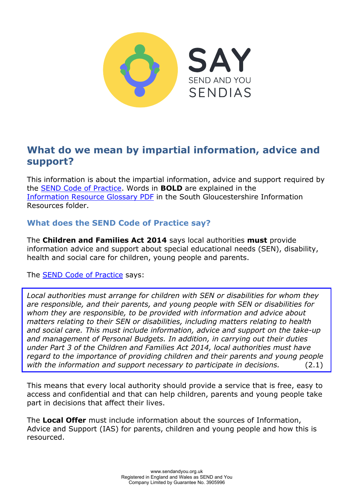

# **What do we mean by impartial information, advice and support?**

This information is about the impartial information, advice and support required by the [SEND Code of Practice.](https://www.gov.uk/government/publications/send-code-of-practice-0-to-25) Words in **BOLD** are explained in the [Information Resource Glossary PDF](https://www.sendandyou.org.uk/wp-content/uploads/2021/08/Information-Resource-Glossary-REVISED2-new.pdf) in the South Gloucestershire Information Resources folder.

# **What does the SEND Code of Practice say?**

The **Children and Families Act 2014** says local authorities **must** provide information advice and support about special educational needs (SEN), disability, health and social care for children, young people and parents.

The **SEND Code of Practice** says:

*Local authorities must arrange for children with SEN or disabilities for whom they are responsible, and their parents, and young people with SEN or disabilities for whom they are responsible, to be provided with information and advice about matters relating to their SEN or disabilities, including matters relating to health and social care. This must include information, advice and support on the take-up and management of Personal Budgets. In addition, in carrying out their duties under Part 3 of the Children and Families Act 2014, local authorities must have regard to the importance of providing children and their parents and young people with the information and support necessary to participate in decisions.* (2.1)

This means that every local authority should provide a service that is free, easy to access and confidential and that can help children, parents and young people take part in decisions that affect their lives.

The **Local Offer** must include information about the sources of Information, Advice and Support (IAS) for parents, children and young people and how this is resourced.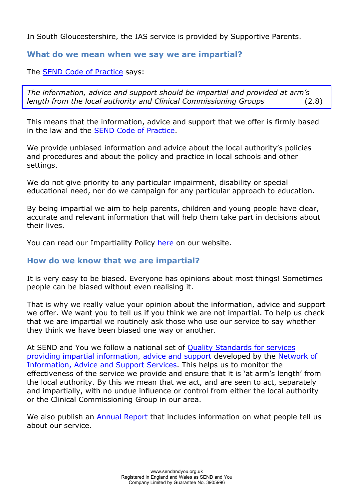In South Gloucestershire, the IAS service is provided by Supportive Parents.

#### **What do we mean when we say we are impartial?**

#### The [SEND Code of Practice](https://www.gov.uk/government/publications/send-code-of-practice-0-to-25) says:

*The information, advice and support should be impartial and provided at arm's length from the local authority and Clinical Commissioning Groups* (2.8)

This means that the information, advice and support that we offer is firmly based in the law and the [SEND Code of Practice.](https://www.gov.uk/government/publications/send-code-of-practice-0-to-25)

We provide unbiased information and advice about the local authority's policies and procedures and about the policy and practice in local schools and other settings.

We do not give priority to any particular impairment, disability or special educational need, nor do we campaign for any particular approach to education.

By being impartial we aim to help parents, children and young people have clear, accurate and relevant information that will help them take part in decisions about their lives.

You can read our Impartiality Polic[y here](https://www.sendandyou.org.uk/wp-content/uploads/2021/08/Impartiality-Policy-newlogo-1.pdf) on our website.

## **How do we know that we are impartial?**

It is very easy to be biased. Everyone has opinions about most things! Sometimes people can be biased without even realising it.

That is why we really value your opinion about the information, advice and support we offer. We want you to tell us if you think we are not impartial. To help us check that we are impartial we routinely ask those who use our service to say whether they think we have been biased one way or another.

At SEND and You we follow a national set of Qua[lity Standards for services](https://councilfordisabledchildren.org.uk/information-advice-and-support-services-network/resources/ias-services-quality-standards) [providing impartial information, advice and support](https://councilfordisabledchildren.org.uk/information-advice-and-support-services-network/resources/ias-services-quality-standards) developed by the [Network of](https://councilfordisabledchildren.org.uk/information-advice-and-support-services-network)  [Information, Advice and Support Services.](https://councilfordisabledchildren.org.uk/information-advice-and-support-services-network) This helps us to monitor the effectiveness of the service we provide and ensure that it is 'at arm's length' from the local authority. By this we mean that we act, and are seen to act, separately and impartially, with no undue influence or control from either the local authority or the Clinical Commissioning Group in our area.

We also publish an [Annual Report](https://www.sendandyou.org.uk/about-us/annual-reports/) that includes information on what people tell us about our service.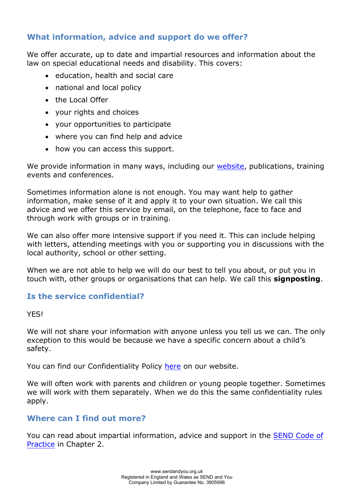# **What information, advice and support do we offer?**

We offer accurate, up to date and impartial resources and information about the law on special educational needs and disability. This covers:

- education, health and social care
- national and local policy
- the Local Offer
- your rights and choices
- your opportunities to participate
- where you can find help and advice
- how you can access this support.

We provide information in many ways, including our [website,](http://www.sendandyou.org.uk/) publications, training events and conferences.

Sometimes information alone is not enough. You may want help to gather information, make sense of it and apply it to your own situation. We call this advice and we offer this service by email, on the telephone, face to face and through work with groups or in training.

We can also offer more intensive support if you need it. This can include helping with letters, attending meetings with you or supporting you in discussions with the local authority, school or other setting.

When we are not able to help we will do our best to tell you about, or put you in touch with, other groups or organisations that can help. We call this **signposting**.

## **Is the service confidential?**

YES!

We will not share your information with anyone unless you tell us we can. The only exception to this would be because we have a specific concern about a child's safety.

You can find our Confidentiality Policy [here](https://www.sendandyou.org.uk/wp-content/uploads/2021/08/Confidentiality-Policy-2019-new.pdf) on our website.

We will often work with parents and children or young people together. Sometimes we will work with them separately. When we do this the same confidentiality rules apply.

## **Where can I find out more?**

You can read about impartial information, advice and support in the [SEND Code of](https://www.gov.uk/government/publications/send-code-of-practice-0-to-25) [Practice](https://www.gov.uk/government/publications/send-code-of-practice-0-to-25) in Chapter 2.